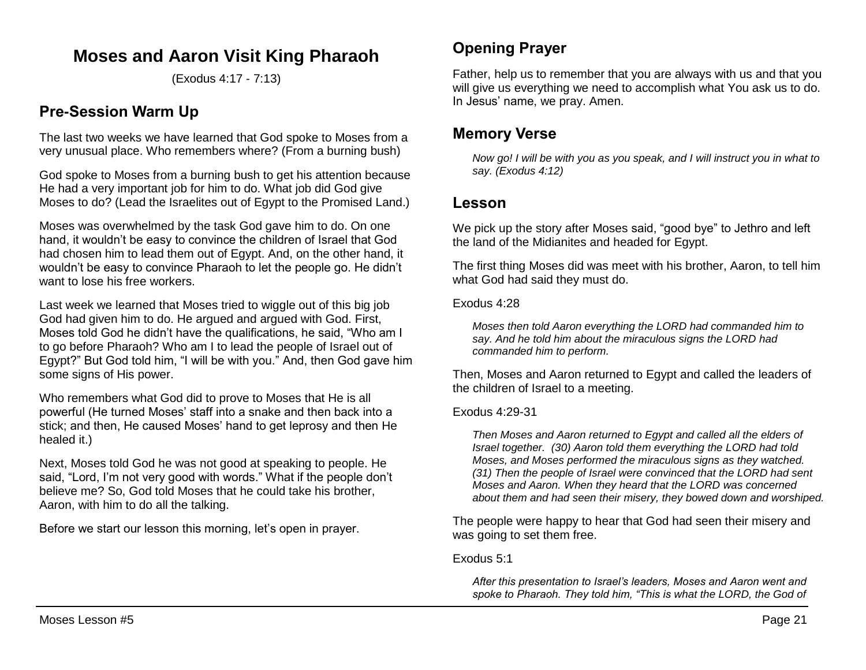# **Moses and Aaron Visit King Pharaoh**

(Exodus 4:17 - 7:13)

## **Pre-Session Warm Up**

The last two weeks we have learned that God spoke to Moses from a very unusual place. Who remembers where? (From a burning bush)

God spoke to Moses from a burning bush to get his attention because He had a very important job for him to do. What job did God give Moses to do? (Lead the Israelites out of Egypt to the Promised Land.)

Moses was overwhelmed by the task God gave him to do. On one hand, it wouldn't be easy to convince the children of Israel that God had chosen him to lead them out of Egypt. And, on the other hand, it wouldn't be easy to convince Pharaoh to let the people go. He didn't want to lose his free workers.

Last week we learned that Moses tried to wiggle out of this big job God had given him to do. He argued and argued with God. First, Moses told God he didn't have the qualifications, he said, "Who am I to go before Pharaoh? Who am I to lead the people of Israel out of Egypt?" But God told him, "I will be with you." And, then God gave him some signs of His power.

Who remembers what God did to prove to Moses that He is all powerful (He turned Moses' staff into a snake and then back into a stick; and then, He caused Moses' hand to get leprosy and then He healed it.)

Next, Moses told God he was not good at speaking to people. He said, "Lord, I'm not very good with words." What if the people don't believe me? So, God told Moses that he could take his brother, Aaron, with him to do all the talking.

Before we start our lesson this morning, let's open in prayer.

# **Opening Prayer**

Father, help us to remember that you are always with us and that you will give us everything we need to accomplish what You ask us to do. In Jesus' name, we pray. Amen.

## **Memory Verse**

*Now go! I will be with you as you speak, and I will instruct you in what to say. (Exodus 4:12)*

## **Lesson**

We pick up the story after Moses said, "good bye" to Jethro and left the land of the Midianites and headed for Egypt.

The first thing Moses did was meet with his brother, Aaron, to tell him what God had said they must do.

### Exodus 4:28

*Moses then told Aaron everything the LORD had commanded him to say. And he told him about the miraculous signs the LORD had commanded him to perform.*

Then, Moses and Aaron returned to Egypt and called the leaders of the children of Israel to a meeting.

## Exodus 4:29-31

*Then Moses and Aaron returned to Egypt and called all the elders of Israel together. (30) Aaron told them everything the LORD had told Moses, and Moses performed the miraculous signs as they watched. (31) Then the people of Israel were convinced that the LORD had sent Moses and Aaron. When they heard that the LORD was concerned about them and had seen their misery, they bowed down and worshiped.*

The people were happy to hear that God had seen their misery and was going to set them free.

### Exodus 5:1

*After this presentation to Israel's leaders, Moses and Aaron went and spoke to Pharaoh. They told him, "This is what the LORD, the God of*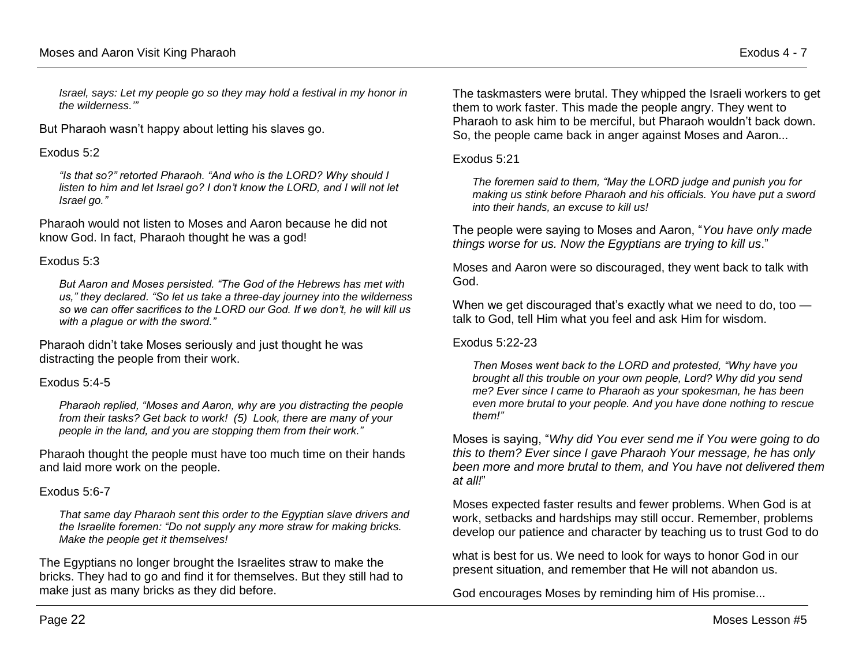*Israel, says: Let my people go so they may hold a festival in my honor in the wilderness.'"*

But Pharaoh wasn't happy about letting his slaves go.

#### Exodus 5:2

*"Is that so?" retorted Pharaoh. "And who is the LORD? Why should I listen to him and let Israel go? I don't know the LORD, and I will not let Israel go."* 

Pharaoh would not listen to Moses and Aaron because he did not know God. In fact, Pharaoh thought he was a god!

#### Exodus 5:3

*But Aaron and Moses persisted. "The God of the Hebrews has met with us," they declared. "So let us take a three-day journey into the wilderness so we can offer sacrifices to the LORD our God. If we don't, he will kill us with a plague or with the sword."* 

Pharaoh didn't take Moses seriously and just thought he was distracting the people from their work.

### Exodus 5:4-5

*Pharaoh replied, "Moses and Aaron, why are you distracting the people from their tasks? Get back to work! (5) Look, there are many of your people in the land, and you are stopping them from their work."*

Pharaoh thought the people must have too much time on their hands and laid more work on the people.

### Exodus 5:6-7

*That same day Pharaoh sent this order to the Egyptian slave drivers and the Israelite foremen: "Do not supply any more straw for making bricks. Make the people get it themselves!* 

The Egyptians no longer brought the Israelites straw to make the bricks. They had to go and find it for themselves. But they still had to make just as many bricks as they did before.

The taskmasters were brutal. They whipped the Israeli workers to get them to work faster. This made the people angry. They went to Pharaoh to ask him to be merciful, but Pharaoh wouldn't back down. So, the people came back in anger against Moses and Aaron...

#### Exodus 5:21

*The foremen said to them, "May the LORD judge and punish you for making us stink before Pharaoh and his officials. You have put a sword into their hands, an excuse to kill us!*

The people were saying to Moses and Aaron, "*You have only made things worse for us. Now the Egyptians are trying to kill us*."

Moses and Aaron were so discouraged, they went back to talk with God.

When we get discouraged that's exactly what we need to do, too talk to God, tell Him what you feel and ask Him for wisdom.

### Exodus 5:22-23

*Then Moses went back to the LORD and protested, "Why have you brought all this trouble on your own people, Lord? Why did you send me? Ever since I came to Pharaoh as your spokesman, he has been even more brutal to your people. And you have done nothing to rescue them!"* 

Moses is saying, "*Why did You ever send me if You were going to do this to them? Ever since I gave Pharaoh Your message, he has only been more and more brutal to them, and You have not delivered them at all!*"

Moses expected faster results and fewer problems. When God is at work, setbacks and hardships may still occur. Remember, problems develop our patience and character by teaching us to trust God to do

what is best for us. We need to look for ways to honor God in our present situation, and remember that He will not abandon us.

God encourages Moses by reminding him of His promise...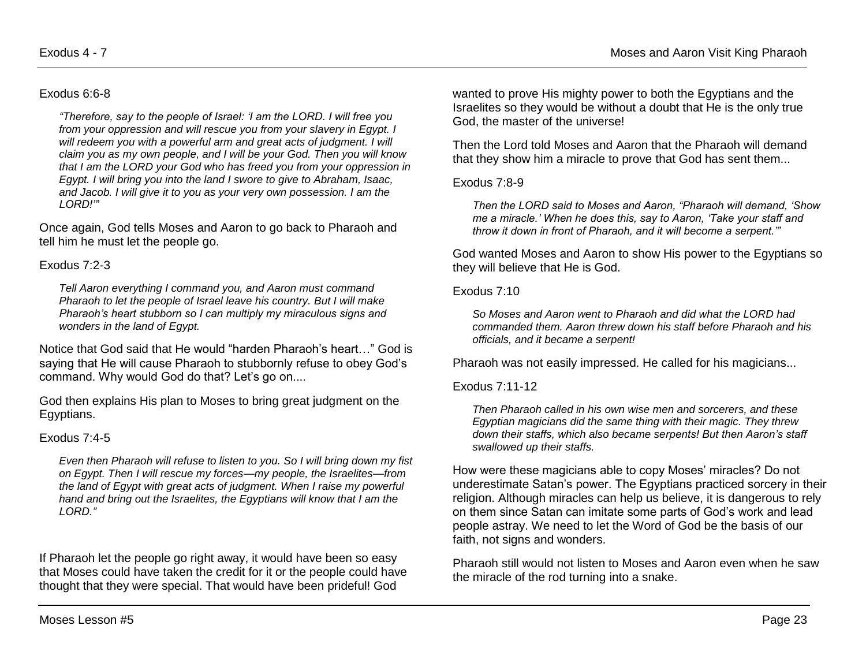#### Exodus 6:6-8

*"Therefore, say to the people of Israel: 'I am the LORD. I will free you from your oppression and will rescue you from your slavery in Egypt. I will redeem you with a powerful arm and great acts of judgment. I will claim you as my own people, and I will be your God. Then you will know that I am the LORD your God who has freed you from your oppression in Egypt. I will bring you into the land I swore to give to Abraham, Isaac, and Jacob. I will give it to you as your very own possession. I am the LORD!'"* 

Once again, God tells Moses and Aaron to go back to Pharaoh and tell him he must let the people go.

#### Exodus 7:2-3

*Tell Aaron everything I command you, and Aaron must command Pharaoh to let the people of Israel leave his country. But I will make Pharaoh's heart stubborn so I can multiply my miraculous signs and wonders in the land of Egypt.* 

Notice that God said that He would "harden Pharaoh's heart…" God is saying that He will cause Pharaoh to stubbornly refuse to obey God's command. Why would God do that? Let's go on....

God then explains His plan to Moses to bring great judgment on the Egyptians.

#### Exodus 7:4-5

*Even then Pharaoh will refuse to listen to you. So I will bring down my fist on Egypt. Then I will rescue my forces—my people, the Israelites—from the land of Egypt with great acts of judgment. When I raise my powerful hand and bring out the Israelites, the Egyptians will know that I am the LORD."* 

If Pharaoh let the people go right away, it would have been so easy that Moses could have taken the credit for it or the people could have thought that they were special. That would have been prideful! God

wanted to prove His mighty power to both the Egyptians and the Israelites so they would be without a doubt that He is the only true God, the master of the universe!

Then the Lord told Moses and Aaron that the Pharaoh will demand that they show him a miracle to prove that God has sent them...

#### Exodus 7:8-9

*Then the LORD said to Moses and Aaron, "Pharaoh will demand, 'Show me a miracle.' When he does this, say to Aaron, 'Take your staff and throw it down in front of Pharaoh, and it will become a serpent.'"* 

God wanted Moses and Aaron to show His power to the Egyptians so they will believe that He is God.

#### Exodus 7:10

*So Moses and Aaron went to Pharaoh and did what the LORD had commanded them. Aaron threw down his staff before Pharaoh and his officials, and it became a serpent!*

Pharaoh was not easily impressed. He called for his magicians...

#### Exodus 7:11-12

*Then Pharaoh called in his own wise men and sorcerers, and these Egyptian magicians did the same thing with their magic. They threw down their staffs, which also became serpents! But then Aaron's staff swallowed up their staffs.* 

How were these magicians able to copy Moses' miracles? Do not underestimate Satan's power. The Egyptians practiced sorcery in their religion. Although miracles can help us believe, it is dangerous to rely on them since Satan can imitate some parts of God's work and lead people astray. We need to let the Word of God be the basis of our faith, not signs and wonders.

Pharaoh still would not listen to Moses and Aaron even when he saw the miracle of the rod turning into a snake.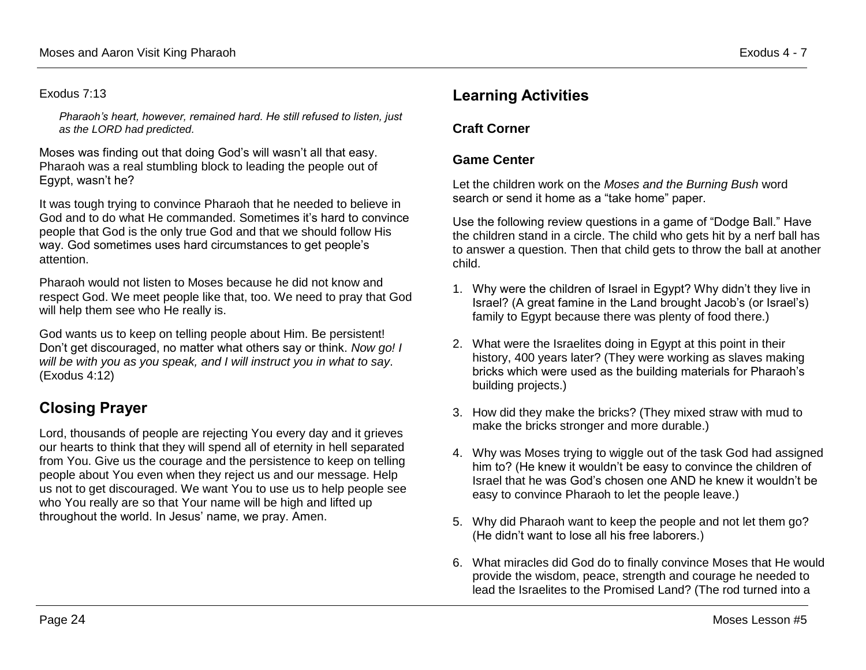#### Exodus 7:13

*Pharaoh's heart, however, remained hard. He still refused to listen, just as the LORD had predicted.*

Moses was finding out that doing God's will wasn't all that easy. Pharaoh was a real stumbling block to leading the people out of Egypt, wasn't he?

It was tough trying to convince Pharaoh that he needed to believe in God and to do what He commanded. Sometimes it's hard to convince people that God is the only true God and that we should follow His way. God sometimes uses hard circumstances to get people's attention.

Pharaoh would not listen to Moses because he did not know and respect God. We meet people like that, too. We need to pray that God will help them see who He really is.

God wants us to keep on telling people about Him. Be persistent! Don't get discouraged, no matter what others say or think. *Now go! I will be with you as you speak, and I will instruct you in what to say*. (Exodus 4:12)

# **Closing Prayer**

Lord, thousands of people are rejecting You every day and it grieves our hearts to think that they will spend all of eternity in hell separated from You. Give us the courage and the persistence to keep on telling people about You even when they reject us and our message. Help us not to get discouraged. We want You to use us to help people see who You really are so that Your name will be high and lifted up throughout the world. In Jesus' name, we pray. Amen.

## **Learning Activities**

### **Craft Corner**

### **Game Center**

Let the children work on the *Moses and the Burning Bush* word search or send it home as a "take home" paper.

Use the following review questions in a game of "Dodge Ball." Have the children stand in a circle. The child who gets hit by a nerf ball has to answer a question. Then that child gets to throw the ball at another child.

- 1. Why were the children of Israel in Egypt? Why didn't they live in Israel? (A great famine in the Land brought Jacob's (or Israel's) family to Egypt because there was plenty of food there.)
- 2. What were the Israelites doing in Egypt at this point in their history, 400 years later? (They were working as slaves making bricks which were used as the building materials for Pharaoh's building projects.)
- 3. How did they make the bricks? (They mixed straw with mud to make the bricks stronger and more durable.)
- 4. Why was Moses trying to wiggle out of the task God had assigned him to? (He knew it wouldn't be easy to convince the children of Israel that he was God's chosen one AND he knew it wouldn't be easy to convince Pharaoh to let the people leave.)
- 5. Why did Pharaoh want to keep the people and not let them go? (He didn't want to lose all his free laborers.)
- 6. What miracles did God do to finally convince Moses that He would provide the wisdom, peace, strength and courage he needed to lead the Israelites to the Promised Land? (The rod turned into a